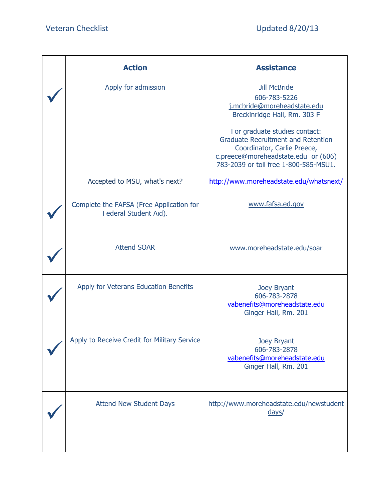| <b>Action</b>                                                     | <b>Assistance</b>                                                                                                                                                                         |
|-------------------------------------------------------------------|-------------------------------------------------------------------------------------------------------------------------------------------------------------------------------------------|
| Apply for admission                                               | <b>Jill McBride</b><br>606-783-5226<br>j.mcbride@moreheadstate.edu<br>Breckinridge Hall, Rm. 303 F                                                                                        |
|                                                                   | For graduate studies contact:<br><b>Graduate Recruitment and Retention</b><br>Coordinator, Carlie Preece,<br>c.preece@moreheadstate.edu or (606)<br>783-2039 or toll free 1-800-585-MSU1. |
| Accepted to MSU, what's next?                                     | http://www.moreheadstate.edu/whatsnext/                                                                                                                                                   |
| Complete the FAFSA (Free Application for<br>Federal Student Aid). | www.fafsa.ed.gov                                                                                                                                                                          |
| <b>Attend SOAR</b>                                                | www.moreheadstate.edu/soar                                                                                                                                                                |
| Apply for Veterans Education Benefits                             | Joey Bryant<br>606-783-2878<br>vabenefits@moreheadstate.edu<br>Ginger Hall, Rm. 201                                                                                                       |
| Apply to Receive Credit for Military Service                      | <b>Joey Bryant</b><br>606-783-2878<br>vabenefits@moreheadstate.edu<br>Ginger Hall, Rm. 201                                                                                                |
| <b>Attend New Student Days</b>                                    | http://www.moreheadstate.edu/newstudent<br>$\frac{days}{ }$                                                                                                                               |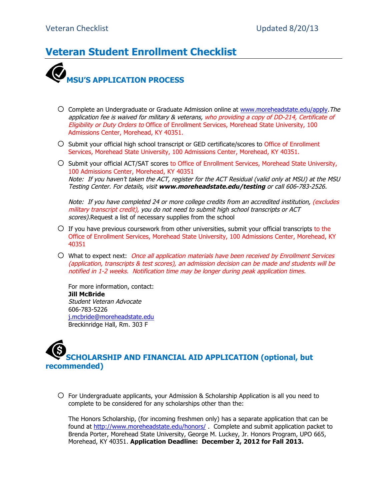### **Veteran Student Enrollment Checklist**



- $\bigcirc$  Complete an Undergraduate or Graduate Admission online at www.moreheadstate.edu/apply. The application fee is waived for military & veterans, who providing a copy of DD-214, Certificate of Eligibility or Duty Orders to Office of Enrollment Services, Morehead State University, 100 Admissions Center, Morehead, KY 40351.
- $\circ$  Submit your official high school transcript or GED certificate/scores to Office of Enrollment Services, Morehead State University, 100 Admissions Center, Morehead, KY 40351.
- O Submit your official ACT/SAT scores to Office of Enrollment Services, Morehead State University, 100 Admissions Center, Morehead, KY 40351 Note: If you haven't taken the ACT, register for the ACT Residual (valid only at MSU) at the MSU Testing Center. For details, visit **www.moreheadstate.edu/testing** or call 606-783-2526.

Note: If you have completed 24 or more college credits from an accredited institution, (excludes military transcript credit), you do not need to submit high school transcripts or ACT scores). Request a list of necessary supplies from the school

- $\circ$  If you have previous coursework from other universities, submit your official transcripts to the Office of Enrollment Services, Morehead State University, 100 Admissions Center, Morehead, KY 40351
- $\overline{O}$  What to expect next: Once all application materials have been received by Enrollment Services (application, transcripts & test scores), an admission decision can be made and students will be notified in 1-2 weeks. Notification time may be longer during peak application times.

For more information, contact: **Jill McBride** Student Veteran Advocate 606-783-5226 j.mcbride@moreheadstate.edu Breckinridge Hall, Rm. 303 F

## **SCHOLARSHIP AND FINANCIAL AID APPLICATION (optional, but recommended)**

 $\circ$  For Undergraduate applicants, your Admission & Scholarship Application is all you need to complete to be considered for any scholarships other than the:

The Honors Scholarship, (for incoming freshmen only) has a separate application that can be found at http://www.moreheadstate.edu/honors/ . Complete and submit application packet to Brenda Porter, Morehead State University, George M. Luckey, Jr. Honors Program, UPO 665, Morehead, KY 40351. **Application Deadline: December 2, 2012 for Fall 2013.**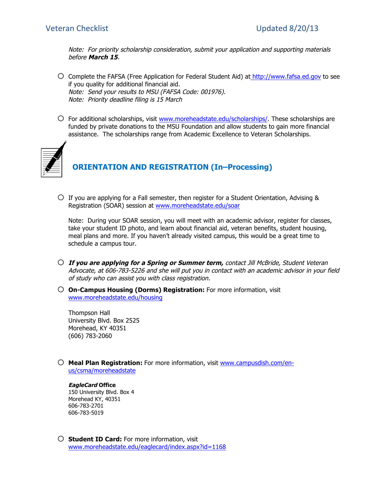Note: For priority scholarship consideration, submit your application and supporting materials before **March 15**.

- o Complete the FAFSA (Free Application for Federal Student Aid) at http://www.fafsa.ed.gov to see if you quality for additional financial aid. Note: Send your results to MSU (FAFSA Code: 001976). Note: Priority deadline filing is 15 March
- $\circ$  For additional scholarships, visit www.moreheadstate.edu/scholarships/. These scholarships are funded by private donations to the MSU Foundation and allow students to gain more financial assistance. The scholarships range from Academic Excellence to Veteran Scholarships.



### **ORIENTATION AND REGISTRATION (In–Processing)**

 $\circ$  If you are applying for a Fall semester, then register for a Student Orientation, Advising & Registration (SOAR) session at www.moreheadstate.edu/soar

Note: During your SOAR session, you will meet with an academic advisor, register for classes, take your student ID photo, and learn about financial aid, veteran benefits, student housing, meal plans and more. If you haven't already visited campus, this would be a great time to schedule a campus tour.

- o **If you are applying for a Spring or Summer term,** contact Jill McBride, Student Veteran Advocate, at 606-783-5226 and she will put you in contact with an academic advisor in your field of study who can assist you with class registration.
- o **On-Campus Housing (Dorms) Registration:** For more information, visit www.moreheadstate.edu/housing

Thompson Hall University Blvd. Box 2525 Morehead, KY 40351 (606) 783-2060

o **Meal Plan Registration:** For more information, visit www.campusdish.com/enus/csma/moreheadstate

#### **EagleCard Office**

150 University Blvd. Box 4 Morehead KY, 40351 606-783-2701 606-783-5019

o **Student ID Card:** For more information, visit www.moreheadstate.edu/eaglecard/index.aspx?id=1168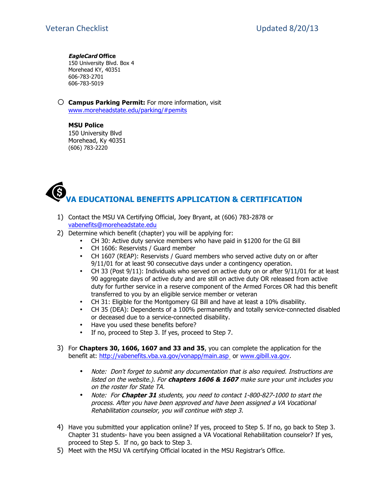#### **EagleCard Office**

150 University Blvd. Box 4 Morehead KY, 40351 606-783-2701 606-783-5019

o **Campus Parking Permit:** For more information, visit www.moreheadstate.edu/parking/#pemits

**MSU Police** 150 University Blvd Morehead, Ky 40351 (606) 783-2220

# **VA EDUCATIONAL BENEFITS APPLICATION & CERTIFICATION**

- 1) Contact the MSU VA Certifying Official, Joey Bryant, at (606) 783-2878 or vabenefits@moreheadstate.edu
- 2) Determine which benefit (chapter) you will be applying for:
	- CH 30: Active duty service members who have paid in \$1200 for the GI Bill
	- CH 1606: Reservists / Guard member
	- CH 1607 (REAP): Reservists / Guard members who served active duty on or after 9/11/01 for at least 90 consecutive days under a contingency operation.
	- CH 33 (Post 9/11): Individuals who served on active duty on or after 9/11/01 for at least 90 aggregate days of active duty and are still on active duty OR released from active duty for further service in a reserve component of the Armed Forces OR had this benefit transferred to you by an eligible service member or veteran
	- CH 31: Eligible for the Montgomery GI Bill and have at least a 10% disability.<br>• CH 35 (DEA): Dependents of a 100% permanently and totally service-connect
	- CH 35 (DEA): Dependents of a 100% permanently and totally service-connected disabled or deceased due to a service-connected disability.
	- Have you used these benefits before?
	- If no, proceed to Step 3. If yes, proceed to Step 7.
- 3) For **Chapters 30, 1606, 1607 and 33 and 35**, you can complete the application for the benefit at: http://vabenefits.vba.va.gov/vonapp/main.asp or www.gibill.va.gov.
	- Note: Don't forget to submit any documentation that is also required. Instructions are listed on the website.). For **chapters 1606 & 1607** make sure your unit includes you on the roster for State TA.
	- Note: For **Chapter 31** students, you need to contact 1-800-827-1000 to start the process. After you have been approved and have been assigned a VA Vocational Rehabilitation counselor, you will continue with step 3.
- 4) Have you submitted your application online? If yes, proceed to Step 5. If no, go back to Step 3. Chapter 31 students- have you been assigned a VA Vocational Rehabilitation counselor? If yes, proceed to Step 5. If no, go back to Step 3.
- 5) Meet with the MSU VA certifying Official located in the MSU Registrar's Office.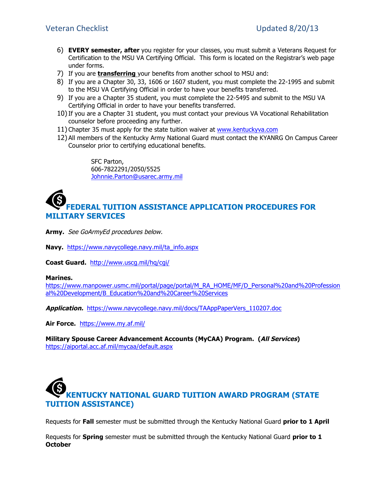- 6) **EVERY semester, after** you register for your classes, you must submit a Veterans Request for Certification to the MSU VA Certifying Official. This form is located on the Registrar's web page under forms.
- 7) If you are **transferring** your benefits from another school to MSU and:
- 8) If you are a Chapter 30, 33, 1606 or 1607 student, you must complete the 22-1995 and submit to the MSU VA Certifying Official in order to have your benefits transferred.
- 9) If you are a Chapter 35 student, you must complete the 22-5495 and submit to the MSU VA Certifying Official in order to have your benefits transferred.
- 10)If you are a Chapter 31 student, you must contact your previous VA Vocational Rehabilitation counselor before proceeding any further.
- 11) Chapter 35 must apply for the state tuition waiver at www.kentuckyva.com
- 12) All members of the Kentucky Army National Guard must contact the KYANRG On Campus Career Counselor prior to certifying educational benefits.

SFC Parton, 606-7822291/2050/5525 Johnnie.Parton@usarec.army.mil

### **FEDERAL TUITION ASSISTANCE APPLICATION PROCEDURES FOR MILITARY SERVICES**

**Army.** See GoArmyEd procedures below.

**Navy.** https://www.navycollege.navy.mil/ta\_info.aspx

**Coast Guard.** http://www.uscg.mil/hq/cgi/

#### **Marines.**

https://www.manpower.usmc.mil/portal/page/portal/M\_RA\_HOME/MF/D\_Personal%20and%20Profession al%20Development/B\_Education%20and%20Career%20Services

**Application.** https://www.navycollege.navy.mil/docs/TAAppPaperVers\_110207.doc

**Air Force.** https://www.my.af.mil/

**Military Spouse Career Advancement Accounts (MyCAA) Program. (All Services)**  https://aiportal.acc.af.mil/mycaa/default.aspx

# **KENTUCKY NATIONAL GUARD TUITION AWARD PROGRAM (STATE TUITION ASSISTANCE)**

Requests for **Fall** semester must be submitted through the Kentucky National Guard **prior to 1 April**

Requests for **Spring** semester must be submitted through the Kentucky National Guard **prior to 1 October**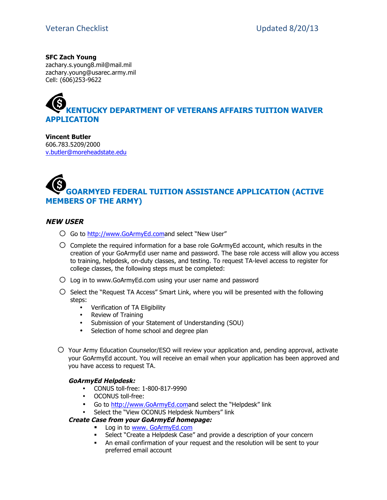**SFC Zach Young** zachary.s.young8.mil@mail.mil zachary.young@usarec.army.mil Cell: (606)253-9622

# **KENTUCKY DEPARTMENT OF VETERANS AFFAIRS TUITION WAIVER APPLICATION**

**Vincent Butler** 606.783.5209/2000 v.butler@moreheadstate.edu

# **GOARMYED FEDERAL TUITION ASSISTANCE APPLICATION (ACTIVE MEMBERS OF THE ARMY)**

#### **NEW USER**

- O Go to http://www.GoArmyEd.comand select "New User"
- $\circ$  Complete the required information for a base role GoArmyEd account, which results in the creation of your GoArmyEd user name and password. The base role access will allow you access to training, helpdesk, on-duty classes, and testing. To request TA-level access to register for college classes, the following steps must be completed:
- $\circ$  Log in to www.GoArmyEd.com using your user name and password
- $\bigcirc$  Select the "Request TA Access" Smart Link, where you will be presented with the following steps:
	- Verification of TA Eligibility
	- Review of Training
	- Submission of your Statement of Understanding (SOU)
	- Selection of home school and degree plan
- o Your Army Education Counselor/ESO will review your application and, pending approval, activate your GoArmyEd account. You will receive an email when your application has been approved and you have access to request TA.

#### **GoArmyEd Helpdesk:**

- CONUS toll-free: 1-800-817-9990
- OCONUS toll-free:
- Go to http://www.GoArmyEd.comand select the "Helpdesk" link
- Select the "View OCONUS Helpdesk Numbers" link

#### **Create Case from your GoArmyEd homepage:**

- **Log in to www. GoArmyEd.com**
- Select "Create a Helpdesk Case" and provide a description of your concern
- An email confirmation of your request and the resolution will be sent to your preferred email account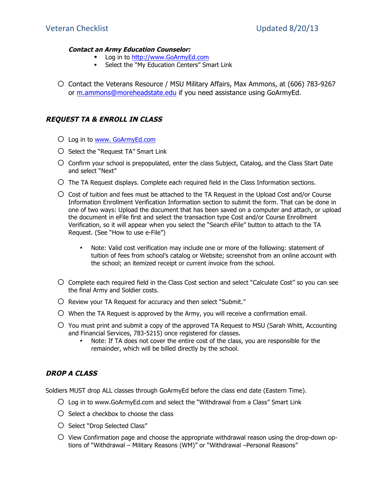#### **Contact an Army Education Counselor:**

- **Log in to http://www.GoArmyEd.com**
- **Select the "My Education Centers" Smart Link**
- o Contact the Veterans Resource / MSU Military Affairs, Max Ammons, at (606) 783-9267 or m.ammons@moreheadstate.edu if you need assistance using GoArmyEd.

#### **REQUEST TA & ENROLL IN CLASS**

- o Log in to www. GoArmyEd.com
- $\bigcirc$  Select the "Request TA" Smart Link
- $\circ$  Confirm your school is prepopulated, enter the class Subject, Catalog, and the Class Start Date and select "Next"
- $\bigcirc$  The TA Request displays. Complete each required field in the Class Information sections.
- $\circ$  Cost of tuition and fees must be attached to the TA Request in the Upload Cost and/or Course Information Enrollment Verification Information section to submit the form. That can be done in one of two ways: Upload the document that has been saved on a computer and attach, or upload the document in eFile first and select the transaction type Cost and/or Course Enrollment Verification, so it will appear when you select the "Search eFile" button to attach to the TA Request. (See "How to use e-File")
	- Note: Valid cost verification may include one or more of the following: statement of tuition of fees from school's catalog or Website; screenshot from an online account with the school; an itemized receipt or current invoice from the school.
- o Complete each required field in the Class Cost section and select "Calculate Cost" so you can see the final Army and Soldier costs.
- $\bigcirc$  Review your TA Request for accuracy and then select "Submit."
- $\circ$  When the TA Request is approved by the Army, you will receive a confirmation email.
- $\circ$  You must print and submit a copy of the approved TA Request to MSU (Sarah Whitt, Accounting and Financial Services, 783-5215) once registered for classes.
	- Note: If TA does not cover the entire cost of the class, you are responsible for the remainder, which will be billed directly by the school.

#### **DROP A CLASS**

Soldiers MUST drop ALL classes through GoArmyEd before the class end date (Eastern Time).

- $\bigcirc$  Log in to www.GoArmyEd.com and select the "Withdrawal from a Class" Smart Link
- $\bigcirc$  Select a checkbox to choose the class
- O Select "Drop Selected Class"
- $\overline{O}$  View Confirmation page and choose the appropriate withdrawal reason using the drop-down options of "Withdrawal – Military Reasons (WM)" or "Withdrawal –Personal Reasons"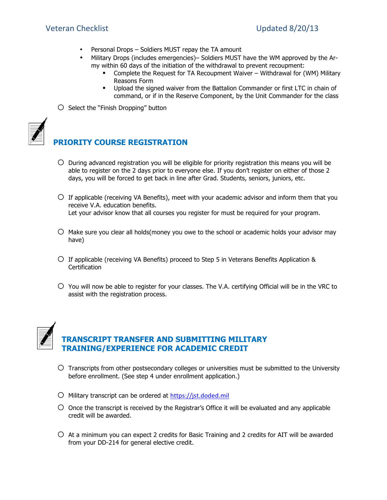- Personal Drops Soldiers MUST repay the TA amount
- Military Drops (includes emergencies)– Soldiers MUST have the WM approved by the Army within 60 days of the initiation of the withdrawal to prevent recoupment:
	- Complete the Request for TA Recoupment Waiver Withdrawal for (WM) Military Reasons Form
	- Upload the signed waiver from the Battalion Commander or first LTC in chain of command, or if in the Reserve Component, by the Unit Commander for the class
- o Select the "Finish Dropping" button



### **PRIORITY COURSE REGISTRATION**

- $\circ$  During advanced registration you will be eligible for priority registration this means you will be able to register on the 2 days prior to everyone else. If you don't register on either of those 2 days, you will be forced to get back in line after Grad. Students, seniors, juniors, etc.
- $\circ$  If applicable (receiving VA Benefits), meet with your academic advisor and inform them that you receive V.A. education benefits. Let your advisor know that all courses you register for must be required for your program.
- $\bigcirc$  Make sure you clear all holds(money you owe to the school or academic holds your advisor may have)
- $\circ$  If applicable (receiving VA Benefits) proceed to Step 5 in Veterans Benefits Application & Certification
- $\circ$  You will now be able to register for your classes. The V.A. certifying Official will be in the VRC to assist with the registration process.



### **TRANSCRIPT TRANSFER AND SUBMITTING MILITARY TRAINING/EXPERIENCE FOR ACADEMIC CREDIT**

- $\circ$  Transcripts from other postsecondary colleges or universities must be submitted to the University before enrollment. (See step 4 under enrollment application.)
- $O$  Military transcript can be ordered at https://jst.doded.mil
- $\circ$  Once the transcript is received by the Registrar's Office it will be evaluated and any applicable credit will be awarded.
- $\circ$  At a minimum you can expect 2 credits for Basic Training and 2 credits for AIT will be awarded from your DD-214 for general elective credit.